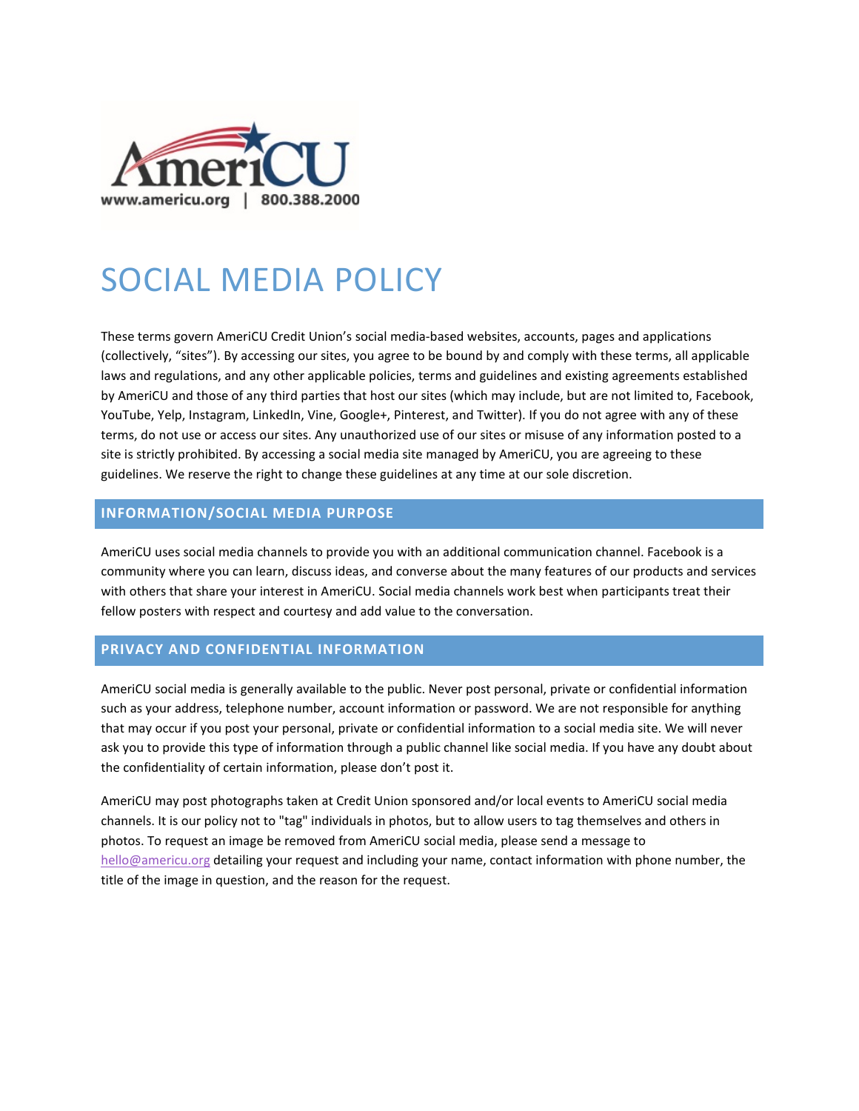

# SOCIAL MEDIA POLICY

These terms govern AmeriCU Credit Union's social media-based websites, accounts, pages and applications (collectively, "sites"). By accessing our sites, you agree to be bound by and comply with these terms, all applicable laws and regulations, and any other applicable policies, terms and guidelines and existing agreements established by AmeriCU and those of any third parties that host our sites (which may include, but are not limited to, Facebook, YouTube, Yelp, Instagram, LinkedIn, Vine, Google+, Pinterest, and Twitter). If you do not agree with any of these terms, do not use or access our sites. Any unauthorized use of our sites or misuse of any information posted to a site is strictly prohibited. By accessing a social media site managed by AmeriCU, you are agreeing to these guidelines. We reserve the right to change these guidelines at any time at our sole discretion.

# **INFORMATION/SOCIAL MEDIA PURPOSE**

AmeriCU uses social media channels to provide you with an additional communication channel. Facebook is a community where you can learn, discuss ideas, and converse about the many features of our products and services with others that share your interest in AmeriCU. Social media channels work best when participants treat their fellow posters with respect and courtesy and add value to the conversation.

# **PRIVACY AND CONFIDENTIAL INFORMATION**

AmeriCU social media is generally available to the public. Never post personal, private or confidential information such as your address, telephone number, account information or password. We are not responsible for anything that may occur if you post your personal, private or confidential information to a social media site. We will never ask you to provide this type of information through a public channel like social media. If you have any doubt about the confidentiality of certain information, please don't post it.

AmeriCU may post photographs taken at Credit Union sponsored and/or local events to AmeriCU social media channels. It is our policy not to "tag" individuals in photos, but to allow users to tag themselves and others in photos. To request an image be removed from AmeriCU social media, please send a message to [hello@americu.org](mailto:marketingrequest@americu.org) detailing your request and including your name, contact information with phone number, the title of the image in question, and the reason for the request.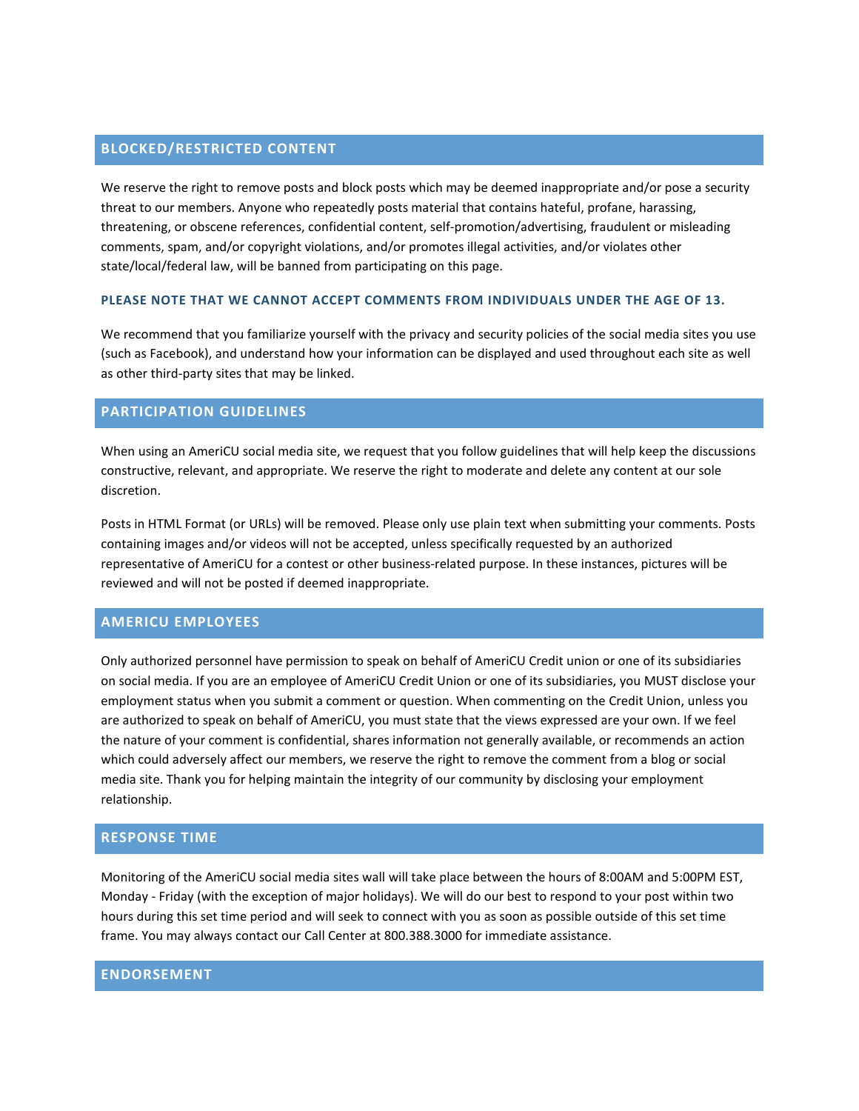# **BLOCKED/RESTRICTED CONTENT**

We reserve the right to remove posts and block posts which may be deemed inappropriate and/or pose a security threat to our members. Anyone who repeatedly posts material that contains hateful, profane, harassing, threatening, or obscene references, confidential content, self-promotion/advertising, fraudulent or misleading comments, spam, and/or copyright violations, and/or promotes illegal activities, and/or violates other state/local/federal law, will be banned from participating on this page.

#### **PLEASE NOTE THAT WE CANNOT ACCEPT COMMENTS FROM INDIVIDUALS UNDER THE AGE OF 13.**

We recommend that you familiarize yourself with the privacy and security policies of the social media sites you use (such as Facebook), and understand how your information can be displayed and used throughout each site as well as other third-party sites that may be linked.

#### **PARTICIPATION GUIDELINES**

When using an AmeriCU social media site, we request that you follow guidelines that will help keep the discussions constructive, relevant, and appropriate. We reserve the right to moderate and delete any content at our sole discretion.

Posts in HTML Format (or URLs) will be removed. Please only use plain text when submitting your comments. Posts containing images and/or videos will not be accepted, unless specifically requested by an authorized representative of AmeriCU for a contest or other business-related purpose. In these instances, pictures will be reviewed and will not be posted if deemed inappropriate.

#### **AMERICU EMPLOYEES**

Only authorized personnel have permission to speak on behalf of AmeriCU Credit union or one of its subsidiaries on social media. If you are an employee of AmeriCU Credit Union or one of its subsidiaries, you MUST disclose your employment status when you submit a comment or question. When commenting on the Credit Union, unless you are authorized to speak on behalf of AmeriCU, you must state that the views expressed are your own. If we feel the nature of your comment is confidential, shares information not generally available, or recommends an action which could adversely affect our members, we reserve the right to remove the comment from a blog or social media site. Thank you for helping maintain the integrity of our community by disclosing your employment relationship.

#### **RESPONSE TIME**

Monitoring of the AmeriCU social media sites wall will take place between the hours of 8:00AM and 5:00PM EST, Monday - Friday (with the exception of major holidays). We will do our best to respond to your post within two hours during this set time period and will seek to connect with you as soon as possible outside of this set time frame. You may always contact our Call Center at 800.388.3000 for immediate assistance.

#### **ENDORSEMENT**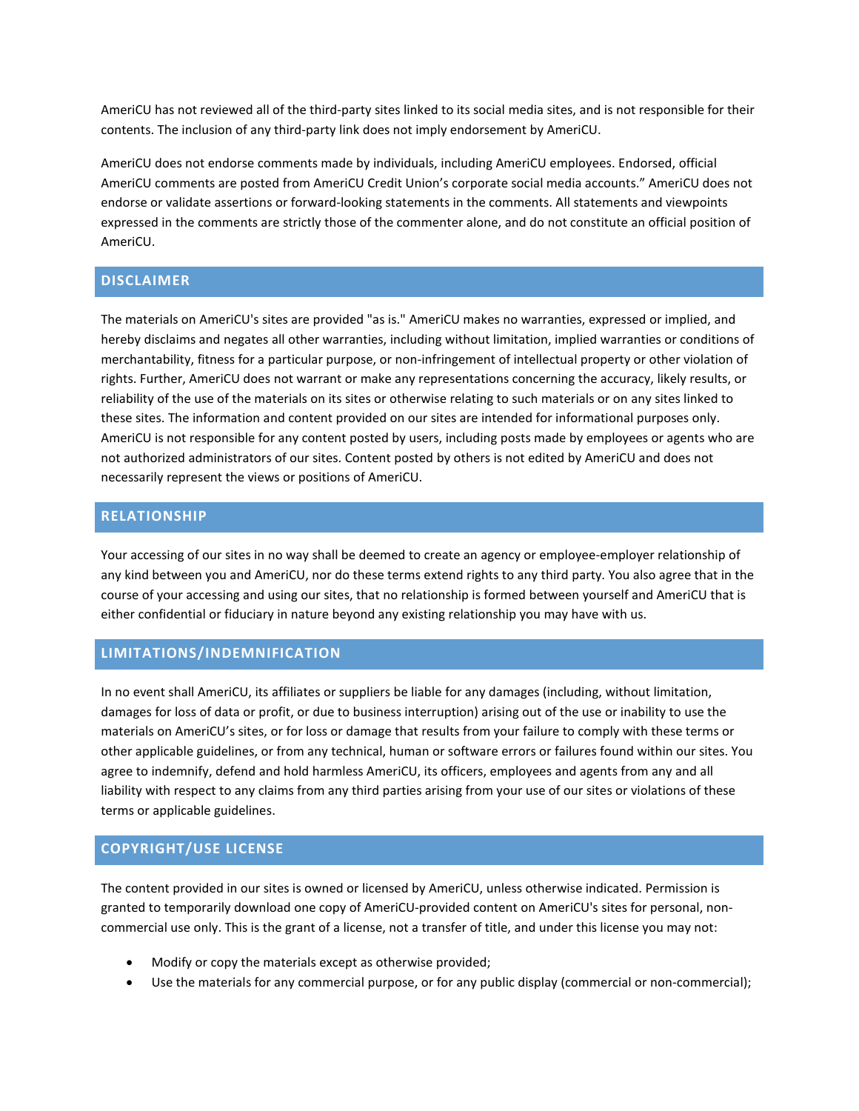AmeriCU has not reviewed all of the third-party sites linked to its social media sites, and is not responsible for their contents. The inclusion of any third-party link does not imply endorsement by AmeriCU.

AmeriCU does not endorse comments made by individuals, including AmeriCU employees. Endorsed, official AmeriCU comments are posted from AmeriCU Credit Union's corporate social media accounts." AmeriCU does not endorse or validate assertions or forward-looking statements in the comments. All statements and viewpoints expressed in the comments are strictly those of the commenter alone, and do not constitute an official position of AmeriCU.

## **DISCLAIMER**

The materials on AmeriCU's sites are provided "as is." AmeriCU makes no warranties, expressed or implied, and hereby disclaims and negates all other warranties, including without limitation, implied warranties or conditions of merchantability, fitness for a particular purpose, or non-infringement of intellectual property or other violation of rights. Further, AmeriCU does not warrant or make any representations concerning the accuracy, likely results, or reliability of the use of the materials on its sites or otherwise relating to such materials or on any sites linked to these sites. The information and content provided on our sites are intended for informational purposes only. AmeriCU is not responsible for any content posted by users, including posts made by employees or agents who are not authorized administrators of our sites. Content posted by others is not edited by AmeriCU and does not necessarily represent the views or positions of AmeriCU.

## **RELATIONSHIP**

Your accessing of our sites in no way shall be deemed to create an agency or employee-employer relationship of any kind between you and AmeriCU, nor do these terms extend rights to any third party. You also agree that in the course of your accessing and using our sites, that no relationship is formed between yourself and AmeriCU that is either confidential or fiduciary in nature beyond any existing relationship you may have with us.

### **LIMITATIONS/INDEMNIFICATION**

In no event shall AmeriCU, its affiliates or suppliers be liable for any damages (including, without limitation, damages for loss of data or profit, or due to business interruption) arising out of the use or inability to use the materials on AmeriCU's sites, or for loss or damage that results from your failure to comply with these terms or other applicable guidelines, or from any technical, human or software errors or failures found within our sites. You agree to indemnify, defend and hold harmless AmeriCU, its officers, employees and agents from any and all liability with respect to any claims from any third parties arising from your use of our sites or violations of these terms or applicable guidelines.

## **COPYRIGHT/USE LICENSE**

The content provided in our sites is owned or licensed by AmeriCU, unless otherwise indicated. Permission is granted to temporarily download one copy of AmeriCU-provided content on AmeriCU's sites for personal, noncommercial use only. This is the grant of a license, not a transfer of title, and under this license you may not:

- Modify or copy the materials except as otherwise provided;
- Use the materials for any commercial purpose, or for any public display (commercial or non-commercial);